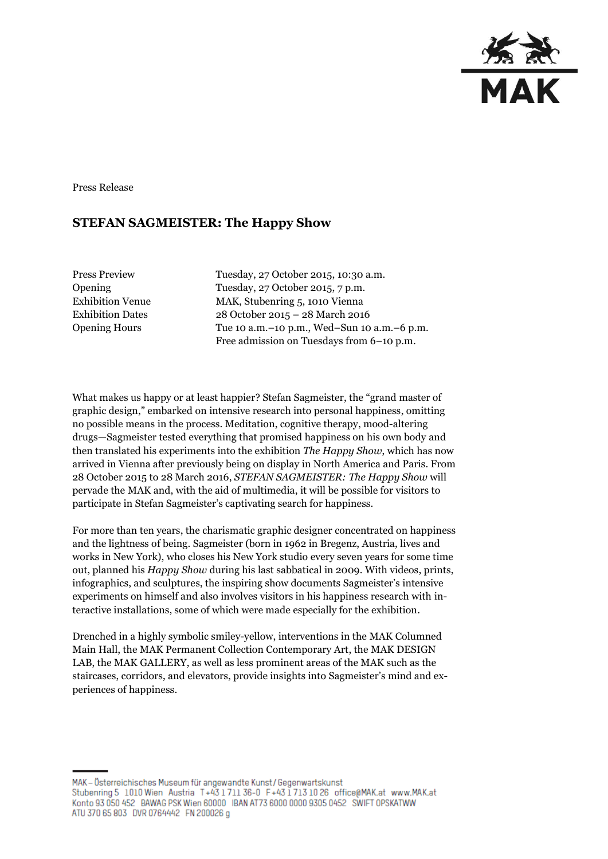

Press Release

## **STEFAN SAGMEISTER: The Happy Show**

Press Preview Tuesday, 27 October 2015, 10:30 a.m. Opening Tuesday, 27 October 2015, 7 p.m. Exhibition Venue MAK, Stubenring 5, 1010 Vienna Exhibition Dates 28 October 2015 – 28 March 2016 Opening Hours Tue 10 a.m.–10 p.m., Wed–Sun 10 a.m.–6 p.m. Free admission on Tuesdays from 6–10 p.m.

What makes us happy or at least happier? Stefan Sagmeister, the "grand master of graphic design," embarked on intensive research into personal happiness, omitting no possible means in the process. Meditation, cognitive therapy, mood-altering drugs—Sagmeister tested everything that promised happiness on his own body and then translated his experiments into the exhibition *The Happy Show*, which has now arrived in Vienna after previously being on display in North America and Paris. From 28 October 2015 to 28 March 2016, *STEFAN SAGMEISTER: The Happy Show* will pervade the MAK and, with the aid of multimedia, it will be possible for visitors to participate in Stefan Sagmeister's captivating search for happiness.

For more than ten years, the charismatic graphic designer concentrated on happiness and the lightness of being. Sagmeister (born in 1962 in Bregenz, Austria, lives and works in New York), who closes his New York studio every seven years for some time out, planned his *Happy Show* during his last sabbatical in 2009. With videos, prints, infographics, and sculptures, the inspiring show documents Sagmeister's intensive experiments on himself and also involves visitors in his happiness research with interactive installations, some of which were made especially for the exhibition.

Drenched in a highly symbolic smiley-yellow, interventions in the MAK Columned Main Hall, the MAK Permanent Collection Contemporary Art, the MAK DESIGN LAB, the MAK GALLERY, as well as less prominent areas of the MAK such as the staircases, corridors, and elevators, provide insights into Sagmeister's mind and experiences of happiness.

MAK - Österreichisches Museum für angewandte Kunst / Gegenwartskunst Stubenring 5 1010 Wien Austria T+43 1711 36-0 F+43 1713 10 26 office@MAK.at www.MAK.at Konto 93 050 452 BAWAG PSK Wien 60000 BAN AT73 6000 0000 9305 0452 SWIFT OPSKATWW ATU 370 65 803 DVR 0764442 FN 200026 g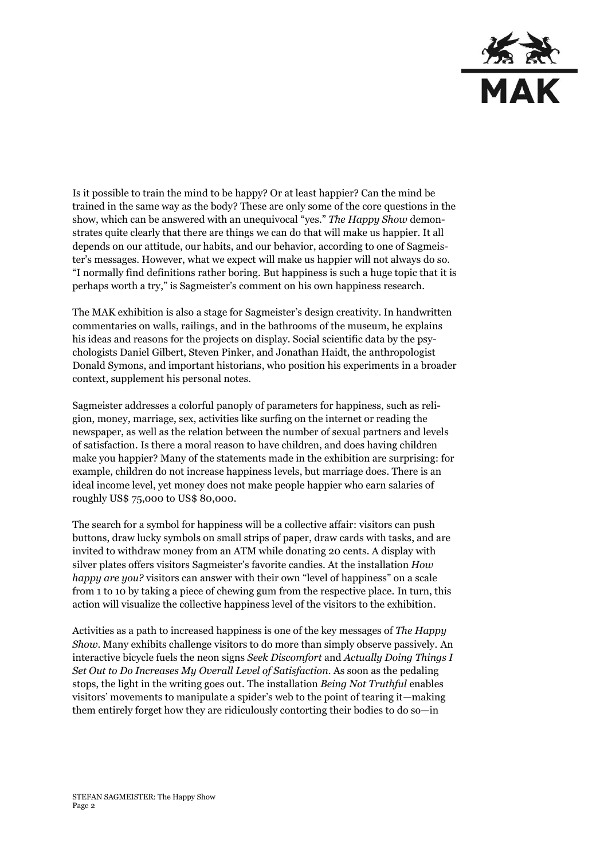

Is it possible to train the mind to be happy? Or at least happier? Can the mind be trained in the same way as the body? These are only some of the core questions in the show, which can be answered with an unequivocal "yes." *The Happy Show* demonstrates quite clearly that there are things we can do that will make us happier. It all depends on our attitude, our habits, and our behavior, according to one of Sagmeister's messages. However, what we expect will make us happier will not always do so. "I normally find definitions rather boring. But happiness is such a huge topic that it is perhaps worth a try," is Sagmeister's comment on his own happiness research.

The MAK exhibition is also a stage for Sagmeister's design creativity. In handwritten commentaries on walls, railings, and in the bathrooms of the museum, he explains his ideas and reasons for the projects on display. Social scientific data by the psychologists Daniel Gilbert, Steven Pinker, and Jonathan Haidt, the anthropologist Donald Symons, and important historians, who position his experiments in a broader context, supplement his personal notes.

Sagmeister addresses a colorful panoply of parameters for happiness, such as religion, money, marriage, sex, activities like surfing on the internet or reading the newspaper, as well as the relation between the number of sexual partners and levels of satisfaction. Is there a moral reason to have children, and does having children make you happier? Many of the statements made in the exhibition are surprising: for example, children do not increase happiness levels, but marriage does. There is an ideal income level, yet money does not make people happier who earn salaries of roughly US\$ 75,000 to US\$ 80,000.

The search for a symbol for happiness will be a collective affair: visitors can push buttons, draw lucky symbols on small strips of paper, draw cards with tasks, and are invited to withdraw money from an ATM while donating 20 cents. A display with silver plates offers visitors Sagmeister's favorite candies. At the installation *How happy are you?* visitors can answer with their own "level of happiness" on a scale from 1 to 10 by taking a piece of chewing gum from the respective place. In turn, this action will visualize the collective happiness level of the visitors to the exhibition.

Activities as a path to increased happiness is one of the key messages of *The Happy Show*. Many exhibits challenge visitors to do more than simply observe passively. An interactive bicycle fuels the neon signs *Seek Discomfort* and *Actually Doing Things I Set Out to Do Increases My Overall Level of Satisfaction*. As soon as the pedaling stops, the light in the writing goes out. The installation *Being Not Truthful* enables visitors' movements to manipulate a spider's web to the point of tearing it—making them entirely forget how they are ridiculously contorting their bodies to do so—in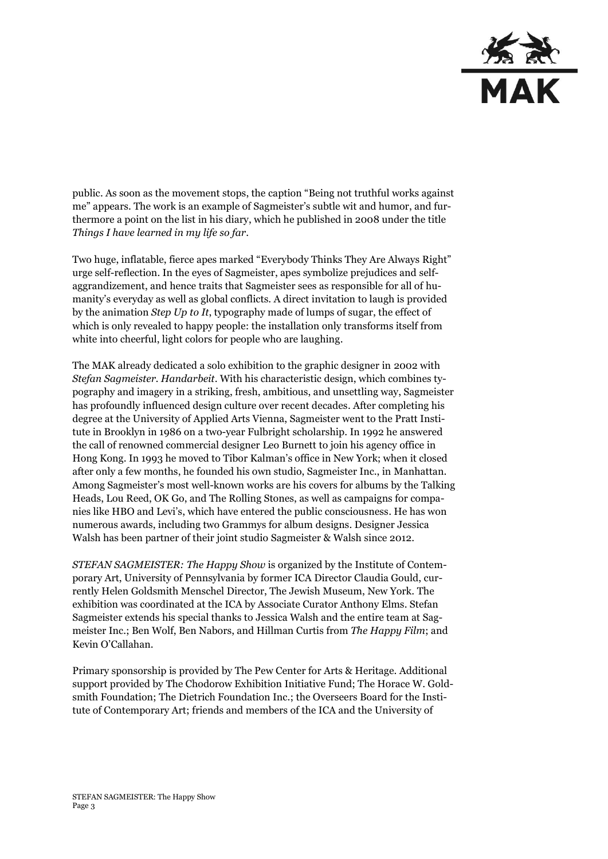

public. As soon as the movement stops, the caption "Being not truthful works against me" appears. The work is an example of Sagmeister's subtle wit and humor, and furthermore a point on the list in his diary, which he published in 2008 under the title *Things I have learned in my life so far*.

Two huge, inflatable, fierce apes marked "Everybody Thinks They Are Always Right" urge self-reflection. In the eyes of Sagmeister, apes symbolize prejudices and selfaggrandizement, and hence traits that Sagmeister sees as responsible for all of humanity's everyday as well as global conflicts. A direct invitation to laugh is provided by the animation *Step Up to It*, typography made of lumps of sugar, the effect of which is only revealed to happy people: the installation only transforms itself from white into cheerful, light colors for people who are laughing.

The MAK already dedicated a solo exhibition to the graphic designer in 2002 with *Stefan Sagmeister. Handarbeit*. With his characteristic design, which combines typography and imagery in a striking, fresh, ambitious, and unsettling way, Sagmeister has profoundly influenced design culture over recent decades. After completing his degree at the University of Applied Arts Vienna, Sagmeister went to the Pratt Institute in Brooklyn in 1986 on a two-year Fulbright scholarship. In 1992 he answered the call of renowned commercial designer Leo Burnett to join his agency office in Hong Kong. In 1993 he moved to Tibor Kalman's office in New York; when it closed after only a few months, he founded his own studio, Sagmeister Inc., in Manhattan. Among Sagmeister's most well-known works are his covers for albums by the Talking Heads, Lou Reed, OK Go, and The Rolling Stones, as well as campaigns for companies like HBO and Levi's, which have entered the public consciousness. He has won numerous awards, including two Grammys for album designs. Designer Jessica Walsh has been partner of their joint studio Sagmeister & Walsh since 2012.

*STEFAN SAGMEISTER: The Happy Show* is organized by the Institute of Contemporary Art, University of Pennsylvania by former ICA Director Claudia Gould, currently Helen Goldsmith Menschel Director, The Jewish Museum, New York. The exhibition was coordinated at the ICA by Associate Curator Anthony Elms. Stefan Sagmeister extends his special thanks to Jessica Walsh and the entire team at Sagmeister Inc.; Ben Wolf, Ben Nabors, and Hillman Curtis from *The Happy Film*; and Kevin O'Callahan.

Primary sponsorship is provided by The Pew Center for Arts & Heritage. Additional support provided by The Chodorow Exhibition Initiative Fund; The Horace W. Goldsmith Foundation; The Dietrich Foundation Inc.; the Overseers Board for the Institute of Contemporary Art; friends and members of the ICA and the University of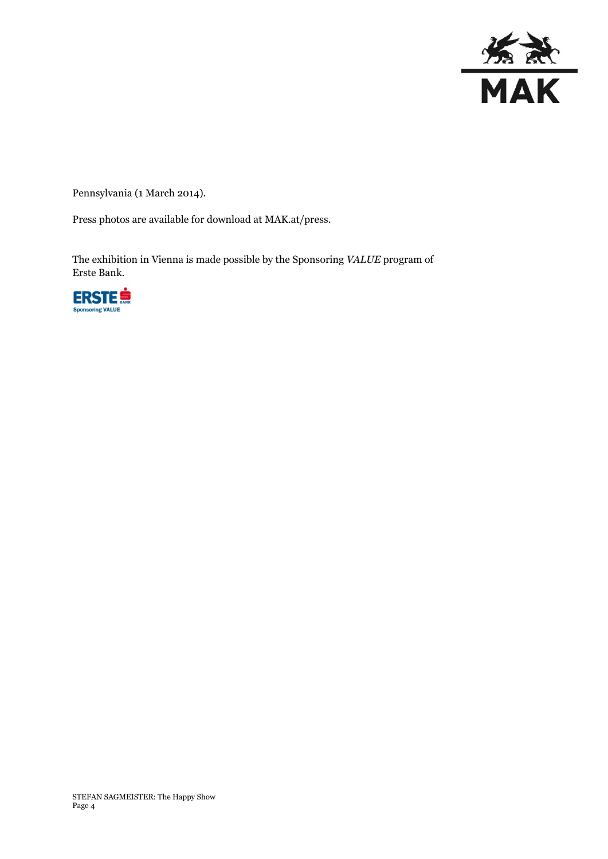

Pennsylvania (1 March 2014).

Press photos are available for download at MAK.at/press.

The exhibition in Vienna is made possible by the Sponsoring *VALUE* program of Erste Bank.